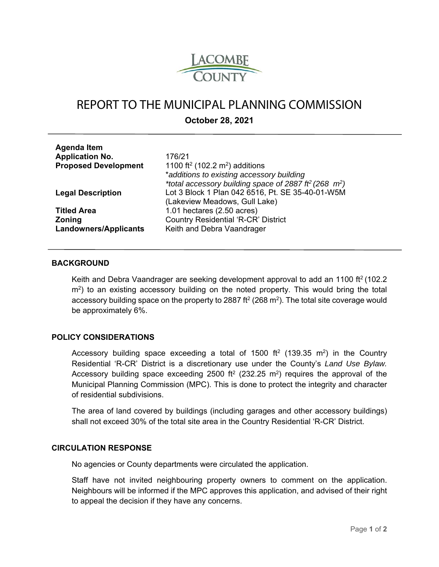

# REPORT TO THE MUNICIPAL PLANNING COMMISSION

**October 28, 2021** 

| <b>Agenda Item</b>           |                                                         |
|------------------------------|---------------------------------------------------------|
| <b>Application No.</b>       | 176/21                                                  |
| <b>Proposed Development</b>  | 1100 ft <sup>2</sup> (102.2 m <sup>2</sup> ) additions  |
|                              | *additions to existing accessory building               |
|                              | *total accessory building space of 2887 ff (268 $m^2$ ) |
| <b>Legal Description</b>     | Lot 3 Block 1 Plan 042 6516, Pt. SE 35-40-01-W5M        |
|                              | (Lakeview Meadows, Gull Lake)                           |
| <b>Titled Area</b>           | 1.01 hectares $(2.50 \text{ acres})$                    |
| <b>Zoning</b>                | <b>Country Residential 'R-CR' District</b>              |
| <b>Landowners/Applicants</b> | Keith and Debra Vaandrager                              |
|                              |                                                         |

#### **BACKGROUND**

Keith and Debra Vaandrager are seeking development approval to add an 1100 ft<sup>2</sup> (102.2) m<sup>2</sup>) to an existing accessory building on the noted property. This would bring the total accessory building space on the property to 2887 ft $2(268 \text{ m}^2)$ . The total site coverage would be approximately 6%.

#### **POLICY CONSIDERATIONS**

Accessory building space exceeding a total of 1500 ft<sup>2</sup> (139.35 m<sup>2</sup>) in the Country Residential 'R-CR' District is a discretionary use under the County's *Land Use Bylaw.*  Accessory building space exceeding 2500 ft<sup>2</sup> (232.25 m<sup>2</sup>) requires the approval of the Municipal Planning Commission (MPC). This is done to protect the integrity and character of residential subdivisions.

The area of land covered by buildings (including garages and other accessory buildings) shall not exceed 30% of the total site area in the Country Residential 'R-CR' District.

#### **CIRCULATION RESPONSE**

No agencies or County departments were circulated the application.

Staff have not invited neighbouring property owners to comment on the application. Neighbours will be informed if the MPC approves this application, and advised of their right to appeal the decision if they have any concerns.